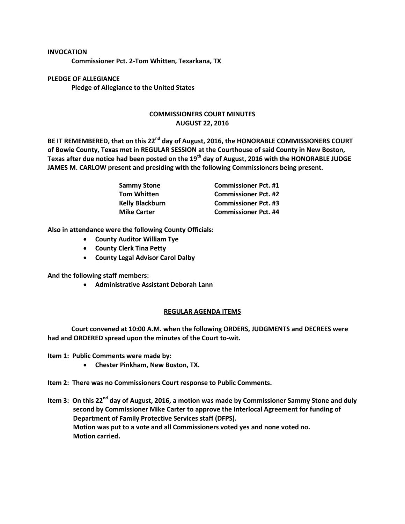## **INVOCATION Commissioner Pct. 2-Tom Whitten, Texarkana, TX**

**PLEDGE OF ALLEGIANCE Pledge of Allegiance to the United States**

## **COMMISSIONERS COURT MINUTES AUGUST 22, 2016**

**BE IT REMEMBERED, that on this 22nd day of August, 2016, the HONORABLE COMMISSIONERS COURT of Bowie County, Texas met in REGULAR SESSION at the Courthouse of said County in New Boston, Texas after due notice had been posted on the 19th day of August, 2016 with the HONORABLE JUDGE JAMES M. CARLOW present and presiding with the following Commissioners being present.**

| Sammy Stone<br>Tom Whitten | <b>Commissioner Pct. #1</b> |
|----------------------------|-----------------------------|
|                            | <b>Commissioner Pct. #2</b> |
| <b>Kelly Blackburn</b>     | <b>Commissioner Pct. #3</b> |
| <b>Mike Carter</b>         | <b>Commissioner Pct. #4</b> |

**Also in attendance were the following County Officials:**

- **County Auditor William Tye**
- **County Clerk Tina Petty**
- **County Legal Advisor Carol Dalby**

**And the following staff members:**

**Administrative Assistant Deborah Lann**

## **REGULAR AGENDA ITEMS**

**Court convened at 10:00 A.M. when the following ORDERS, JUDGMENTS and DECREES were had and ORDERED spread upon the minutes of the Court to-wit.**

**Item 1: Public Comments were made by:**

**Chester Pinkham, New Boston, TX.**

**Item 2: There was no Commissioners Court response to Public Comments.**

**Item 3: On this 22nd day of August, 2016, a motion was made by Commissioner Sammy Stone and duly second by Commissioner Mike Carter to approve the Interlocal Agreement for funding of Department of Family Protective Services staff (DFPS). Motion was put to a vote and all Commissioners voted yes and none voted no. Motion carried.**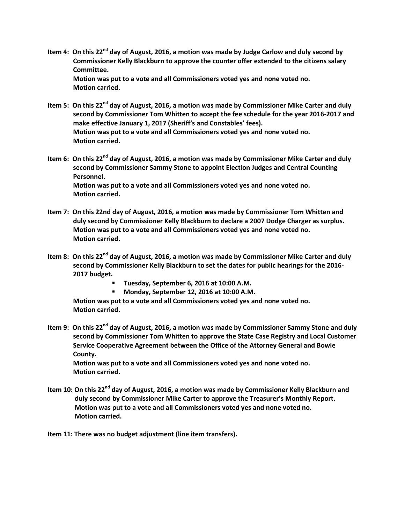- **Item 4: On this 22nd day of August, 2016, a motion was made by Judge Carlow and duly second by Commissioner Kelly Blackburn to approve the counter offer extended to the citizens salary Committee. Motion was put to a vote and all Commissioners voted yes and none voted no. Motion carried.**
- **Item 5: On this 22nd day of August, 2016, a motion was made by Commissioner Mike Carter and duly second by Commissioner Tom Whitten to accept the fee schedule for the year 2016-2017 and make effective January 1, 2017 (Sheriff's and Constables' fees). Motion was put to a vote and all Commissioners voted yes and none voted no. Motion carried.**
- **Item 6: On this 22nd day of August, 2016, a motion was made by Commissioner Mike Carter and duly second by Commissioner Sammy Stone to appoint Election Judges and Central Counting Personnel. Motion was put to a vote and all Commissioners voted yes and none voted no. Motion carried.**
- **Item 7: On this 22nd day of August, 2016, a motion was made by Commissioner Tom Whitten and duly second by Commissioner Kelly Blackburn to declare a 2007 Dodge Charger as surplus. Motion was put to a vote and all Commissioners voted yes and none voted no. Motion carried.**
- **Item 8: On this 22nd day of August, 2016, a motion was made by Commissioner Mike Carter and duly second by Commissioner Kelly Blackburn to set the dates for public hearings for the 2016- 2017 budget.** 
	- **Tuesday, September 6, 2016 at 10:00 A.M.**
	- **Monday, September 12, 2016 at 10:00 A.M.**

**Motion was put to a vote and all Commissioners voted yes and none voted no. Motion carried.**

**Item 9: On this 22nd day of August, 2016, a motion was made by Commissioner Sammy Stone and duly second by Commissioner Tom Whitten to approve the State Case Registry and Local Customer Service Cooperative Agreement between the Office of the Attorney General and Bowie County.**

**Motion was put to a vote and all Commissioners voted yes and none voted no. Motion carried.**

**Item 10: On this 22nd day of August, 2016, a motion was made by Commissioner Kelly Blackburn and duly second by Commissioner Mike Carter to approve the Treasurer's Monthly Report. Motion was put to a vote and all Commissioners voted yes and none voted no. Motion carried.**

**Item 11: There was no budget adjustment (line item transfers).**